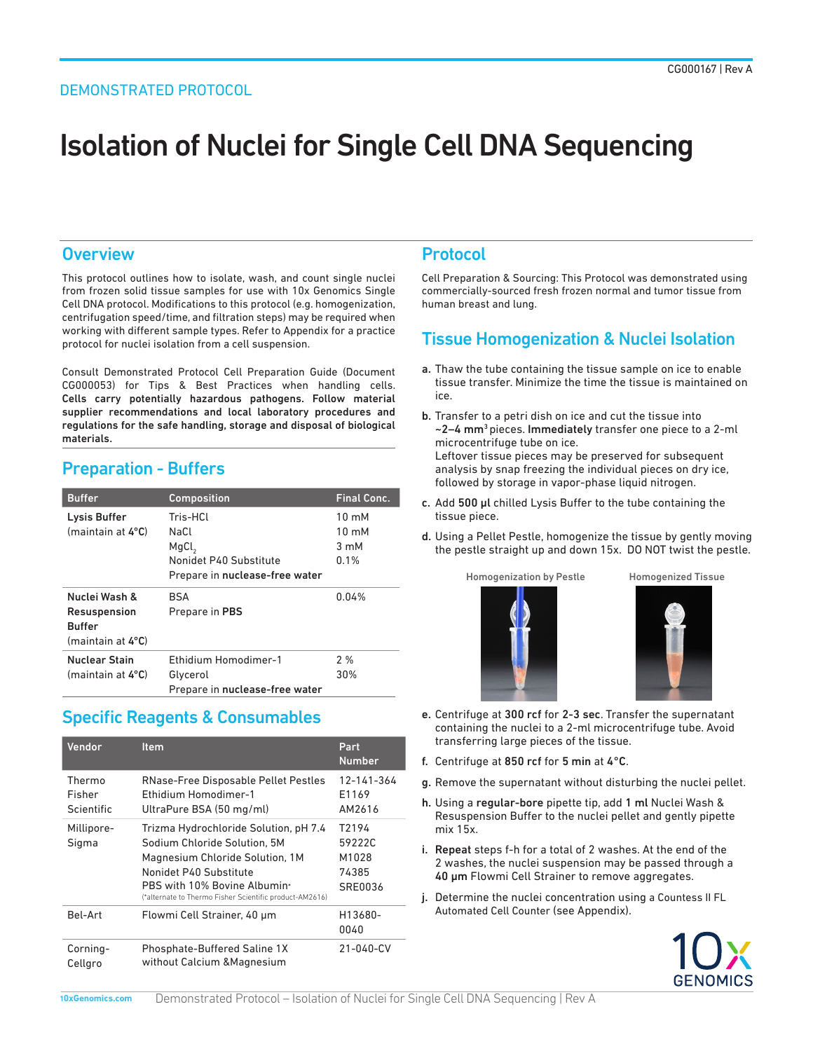# Isolation of Nuclei for Single Cell DNA Sequencing

## **Overview**

This protocol outlines how to isolate, wash, and count single nuclei from frozen solid tissue samples for use with 10x Genomics Single Cell DNA protocol. Modifications to this protocol (e.g. homogenization, centrifugation speed/time, and filtration steps) may be required when working with different sample types. Refer to Appendix for a practice protocol for nuclei isolation from a cell suspension.

Consult Demonstrated Protocol Cell Preparation Guide (Document CG000053) for Tips & Best Practices when handling cells. Cells carry potentially hazardous pathogens. Follow material supplier recommendations and local laboratory procedures and regulations for the safe handling, storage and disposal of biological materials.

# Preparation - Buffers

| <b>Buffer</b>                                                       | <b>Composition</b>                                                                                | <b>Final Conc.</b>                                           |
|---------------------------------------------------------------------|---------------------------------------------------------------------------------------------------|--------------------------------------------------------------|
| Lysis Buffer<br>(maintain at 4°C)                                   | Tris-HCl<br>NaCl<br>MgCl <sub>2</sub><br>Nonidet P40 Substitute<br>Prepare in nuclease-free water | $10 \text{ mM}$<br>$10 \text{ mM}$<br>$3 \text{ mM}$<br>0.1% |
| Nuclei Wash &<br>Resuspension<br><b>Buffer</b><br>(maintain at 4°C) | <b>BSA</b><br>Prepare in PBS                                                                      | 0.04%                                                        |
| <b>Nuclear Stain</b><br>(maintain at 4°C)                           | Ethidium Homodimer-1<br>Glycerol<br>Prepare in nuclease-free water                                | 2%<br>30%                                                    |

## Specific Reagents & Consumables

| Vendor                         | <b>Item</b>                                                                                                                                                                                                                   | Part<br><b>Number</b>                                    |
|--------------------------------|-------------------------------------------------------------------------------------------------------------------------------------------------------------------------------------------------------------------------------|----------------------------------------------------------|
| Thermo<br>Fisher<br>Scientific | RNase-Free Disposable Pellet Pestles<br><b>Fthidium Homodimer-1</b><br>UltraPure BSA (50 mg/ml)                                                                                                                               | 12-141-364<br>E1169<br>AM2616                            |
| Millipore-<br>Sigma            | Trizma Hydrochloride Solution, pH 7.4<br>Sodium Chloride Solution, 5M<br>Magnesium Chloride Solution, 1M<br>Nonidet P40 Substitute<br>PBS with 10% Bovine Albumin*<br>(*alternate to Thermo Fisher Scientific product-AM2616) | T <sub>2194</sub><br>59222C<br>M1028<br>74385<br>SRE0036 |
| Bel-Art                        | Flowmi Cell Strainer, 40 um                                                                                                                                                                                                   | H13680-<br>0040                                          |
| Corning-<br>Cellgro            | Phosphate-Buffered Saline 1X<br>without Calcium & Magnesium                                                                                                                                                                   | 21-040-CV                                                |

## Protocol

Cell Preparation & Sourcing: This Protocol was demonstrated using commercially-sourced fresh frozen normal and tumor tissue from human breast and lung.

## Tissue Homogenization & Nuclei Isolation

- a. Thaw the tube containing the tissue sample on ice to enable tissue transfer. Minimize the time the tissue is maintained on ice.
- b. Transfer to a petri dish on ice and cut the tissue into ~2–4 mm3 pieces. Immediately transfer one piece to a 2-ml microcentrifuge tube on ice. Leftover tissue pieces may be preserved for subsequent analysis by snap freezing the individual pieces on dry ice, followed by storage in vapor-phase liquid nitrogen.
- c. Add 500 μl chilled Lysis Buffer to the tube containing the tissue piece.
- d. Using a Pellet Pestle, homogenize the tissue by gently moving the pestle straight up and down 15x. DO NOT twist the pestle.







- e. Centrifuge at 300 rcf for 2-3 sec. Transfer the supernatant containing the nuclei to a 2-ml microcentrifuge tube. Avoid transferring large pieces of the tissue.
- f. Centrifuge at 850 rcf for 5 min at 4°C.
- g. Remove the supernatant without disturbing the nuclei pellet.
- h. Using a regular-bore pipette tip, add 1 ml Nuclei Wash & Resuspension Buffer to the nuclei pellet and gently pipette mix 15x.
- i. Repeat steps f-h for a total of 2 washes. At the end of the 2 washes, the nuclei suspension may be passed through a 40 μm Flowmi Cell Strainer to remove aggregates.
- j. Determine the nuclei concentration using a Countess II FL Automated Cell Counter (see Appendix).